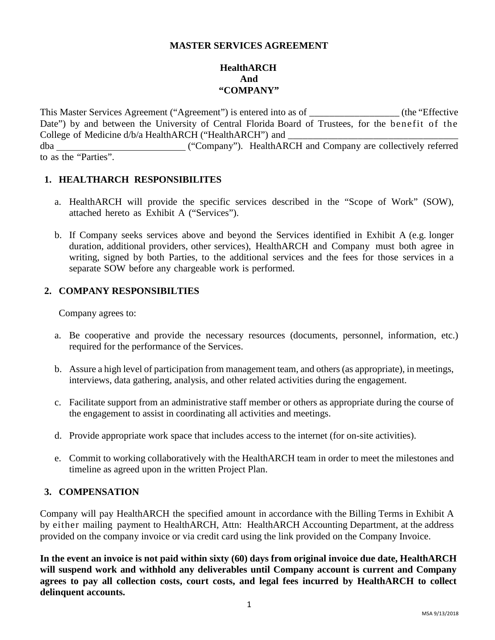## **MASTER SERVICES AGREEMENT**

# **HealthARCH And "COMPANY"**

This Master Services Agreement ("Agreement") is entered into as of \_\_\_\_\_\_\_\_\_\_\_\_\_\_\_\_\_\_ (the "Effective Date") by and between the University of Central Florida Board of Trustees, for the benefit of the College of Medicine d/b/a HealthARCH ("HealthARCH") and dba ("Company"). HealthARCH and Company are collectively referred to as the "Parties".

### **1. HEALTHARCH RESPONSIBILITES**

- a. HealthARCH will provide the specific services described in the "Scope of Work" (SOW), attached hereto as Exhibit A ("Services").
- b. If Company seeks services above and beyond the Services identified in Exhibit A (e.g. longer duration, additional providers, other services), HealthARCH and Company must both agree in writing, signed by both Parties, to the additional services and the fees for those services in a separate SOW before any chargeable work is performed.

### **2. COMPANY RESPONSIBILTIES**

Company agrees to:

- a. Be cooperative and provide the necessary resources (documents, personnel, information, etc.) required for the performance of the Services.
- b. Assure a high level of participation from management team, and others (as appropriate), in meetings, interviews, data gathering, analysis, and other related activities during the engagement.
- c. Facilitate support from an administrative staff member or others as appropriate during the course of the engagement to assist in coordinating all activities and meetings.
- d. Provide appropriate work space that includes access to the internet (for on-site activities).
- e. Commit to working collaboratively with the HealthARCH team in order to meet the milestones and timeline as agreed upon in the written Project Plan.

## **3. COMPENSATION**

Company will pay HealthARCH the specified amount in accordance with the Billing Terms in Exhibit A by either mailing payment to HealthARCH, Attn: HealthARCH Accounting Department, at the address provided on the company invoice or via credit card using the link provided on the Company Invoice.

**In the event an invoice is not paid within sixty (60) days from original invoice due date, HealthARCH will suspend work and withhold any deliverables until Company account is current and Company agrees to pay all collection costs, court costs, and legal fees incurred by HealthARCH to collect delinquent accounts.**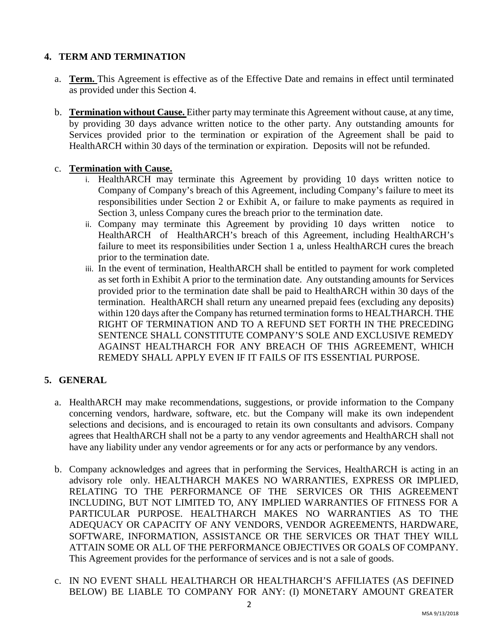# **4. TERM AND TERMINATION**

- a. **Term.** This Agreement is effective as of the Effective Date and remains in effect until terminated as provided under this Section 4.
- b. **Termination without Cause.** Either party may terminate this Agreement without cause, at any time, by providing 30 days advance written notice to the other party. Any outstanding amounts for Services provided prior to the termination or expiration of the Agreement shall be paid to HealthARCH within 30 days of the termination or expiration. Deposits will not be refunded.

# c. **Termination with Cause.**

- i. HealthARCH may terminate this Agreement by providing 10 days written notice to Company of Company's breach of this Agreement, including Company's failure to meet its responsibilities under Section 2 or Exhibit A, or failure to make payments as required in Section 3, unless Company cures the breach prior to the termination date.
- ii. Company may terminate this Agreement by providing 10 days written notice to HealthARCH of HealthARCH's breach of this Agreement, including HealthARCH's failure to meet its responsibilities under Section 1 a, unless HealthARCH cures the breach prior to the termination date.
- iii. In the event of termination, HealthARCH shall be entitled to payment for work completed as set forth in Exhibit A prior to the termination date. Any outstanding amounts for Services provided prior to the termination date shall be paid to HealthARCH within 30 days of the termination. HealthARCH shall return any unearned prepaid fees (excluding any deposits) within 120 days after the Company has returned termination forms to HEALTHARCH. THE RIGHT OF TERMINATION AND TO A REFUND SET FORTH IN THE PRECEDING SENTENCE SHALL CONSTITUTE COMPANY'S SOLE AND EXCLUSIVE REMEDY AGAINST HEALTHARCH FOR ANY BREACH OF THIS AGREEMENT, WHICH REMEDY SHALL APPLY EVEN IF IT FAILS OF ITS ESSENTIAL PURPOSE.

# **5. GENERAL**

- a. HealthARCH may make recommendations, suggestions, or provide information to the Company concerning vendors, hardware, software, etc. but the Company will make its own independent selections and decisions, and is encouraged to retain its own consultants and advisors. Company agrees that HealthARCH shall not be a party to any vendor agreements and HealthARCH shall not have any liability under any vendor agreements or for any acts or performance by any vendors.
- b. Company acknowledges and agrees that in performing the Services, HealthARCH is acting in an advisory role only. HEALTHARCH MAKES NO WARRANTIES, EXPRESS OR IMPLIED, RELATING TO THE PERFORMANCE OF THE SERVICES OR THIS AGREEMENT INCLUDING, BUT NOT LIMITED TO, ANY IMPLIED WARRANTIES OF FITNESS FOR A PARTICULAR PURPOSE. HEALTHARCH MAKES NO WARRANTIES AS TO THE ADEQUACY OR CAPACITY OF ANY VENDORS, VENDOR AGREEMENTS, HARDWARE, SOFTWARE, INFORMATION, ASSISTANCE OR THE SERVICES OR THAT THEY WILL ATTAIN SOME OR ALL OF THE PERFORMANCE OBJECTIVES OR GOALS OF COMPANY. This Agreement provides for the performance of services and is not a sale of goods.
- c. IN NO EVENT SHALL HEALTHARCH OR HEALTHARCH'S AFFILIATES (AS DEFINED BELOW) BE LIABLE TO COMPANY FOR ANY: (I) MONETARY AMOUNT GREATER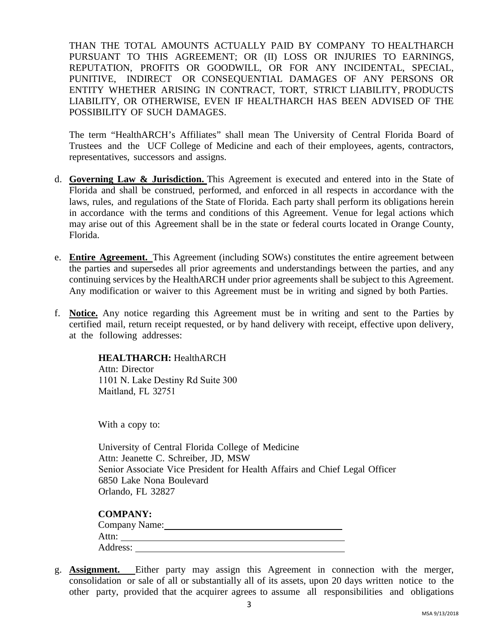THAN THE TOTAL AMOUNTS ACTUALLY PAID BY COMPANY TO HEALTHARCH PURSUANT TO THIS AGREEMENT; OR (II) LOSS OR INJURIES TO EARNINGS, REPUTATION, PROFITS OR GOODWILL, OR FOR ANY INCIDENTAL, SPECIAL, PUNITIVE, INDIRECT OR CONSEQUENTIAL DAMAGES OF ANY PERSONS OR ENTITY WHETHER ARISING IN CONTRACT, TORT, STRICT LIABILITY, PRODUCTS LIABILITY, OR OTHERWISE, EVEN IF HEALTHARCH HAS BEEN ADVISED OF THE POSSIBILITY OF SUCH DAMAGES.

The term "HealthARCH's Affiliates" shall mean The University of Central Florida Board of Trustees and the UCF College of Medicine and each of their employees, agents, contractors, representatives, successors and assigns.

- d. **Governing Law & Jurisdiction.** This Agreement is executed and entered into in the State of Florida and shall be construed, performed, and enforced in all respects in accordance with the laws, rules, and regulations of the State of Florida. Each party shall perform its obligations herein in accordance with the terms and conditions of this Agreement. Venue for legal actions which may arise out of this Agreement shall be in the state or federal courts located in Orange County, Florida.
- e. **Entire Agreement.** This Agreement (including SOWs) constitutes the entire agreement between the parties and supersedes all prior agreements and understandings between the parties, and any continuing services by the HealthARCH under prior agreements shall be subject to this Agreement. Any modification or waiver to this Agreement must be in writing and signed by both Parties.
- f. **Notice.** Any notice regarding this Agreement must be in writing and sent to the Parties by certified mail, return receipt requested, or by hand delivery with receipt, effective upon delivery, at the following addresses:

### **HEALTHARCH:** HealthARCH

Attn: Director 1101 N. Lake Destiny Rd Suite 300 Maitland, FL 32751

With a copy to:

University of Central Florida College of Medicine Attn: Jeanette C. Schreiber, JD, MSW Senior Associate Vice President for Health Affairs and Chief Legal Officer 6850 Lake Nona Boulevard Orlando, FL 32827

| Company Name: |  |  |
|---------------|--|--|
| Attn:         |  |  |
| Address:      |  |  |

g. **Assignment.** Either party may assign this Agreement in connection with the merger, consolidation or sale of all or substantially all of its assets, upon 20 days written notice to the other party, provided that the acquirer agrees to assume all responsibilities and obligations